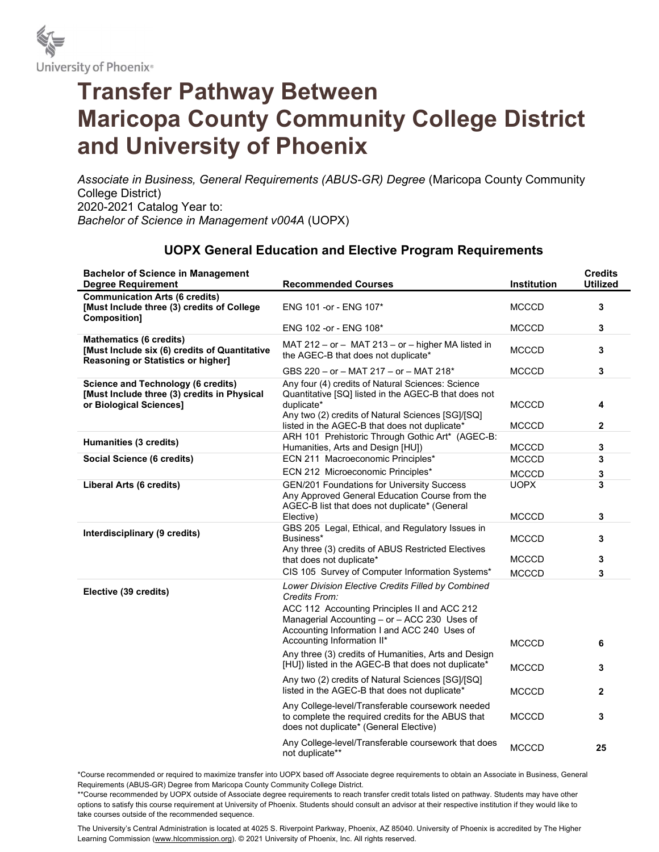

## Transfer Pathway Between Maricopa County Community College District and University of Phoenix

Associate in Business, General Requirements (ABUS-GR) Degree (Maricopa County Community College District) 2020-2021 Catalog Year to: Bachelor of Science in Management v004A (UOPX)

## UOPX General Education and Elective Program Requirements

| <b>Bachelor of Science in Management</b><br><b>Degree Requirement</b>                                                 | <b>Recommended Courses</b>                                                                                                                                                   | <b>Institution</b> | <b>Credits</b><br><b>Utilized</b> |
|-----------------------------------------------------------------------------------------------------------------------|------------------------------------------------------------------------------------------------------------------------------------------------------------------------------|--------------------|-----------------------------------|
| <b>Communication Arts (6 credits)</b><br>[Must Include three (3) credits of College<br>Composition]                   | ENG 101 - or - ENG 107*                                                                                                                                                      | <b>MCCCD</b>       | 3                                 |
|                                                                                                                       | ENG 102 -or - ENG 108*                                                                                                                                                       | <b>MCCCD</b>       | 3                                 |
| <b>Mathematics (6 credits)</b><br>[Must Include six (6) credits of Quantitative<br>Reasoning or Statistics or higher] | MAT 212 - or - MAT 213 - or - higher MA listed in<br>the AGEC-B that does not duplicate*                                                                                     | <b>MCCCD</b>       | 3                                 |
|                                                                                                                       | GBS 220 - or - MAT 217 - or - MAT 218*                                                                                                                                       | <b>MCCCD</b>       | 3                                 |
| <b>Science and Technology (6 credits)</b><br>[Must Include three (3) credits in Physical<br>or Biological Sciences]   | Any four (4) credits of Natural Sciences: Science<br>Quantitative [SQ] listed in the AGEC-B that does not<br>duplicate*<br>Any two (2) credits of Natural Sciences [SG]/[SQ] | <b>MCCCD</b>       | 4                                 |
|                                                                                                                       | listed in the AGEC-B that does not duplicate*<br>ARH 101 Prehistoric Through Gothic Art* (AGEC-B:                                                                            | <b>MCCCD</b>       | $\mathbf{2}$                      |
| <b>Humanities (3 credits)</b>                                                                                         | Humanities, Arts and Design [HU])                                                                                                                                            | <b>MCCCD</b>       | 3                                 |
| Social Science (6 credits)                                                                                            | ECN 211 Macroeconomic Principles*                                                                                                                                            | <b>MCCCD</b>       | 3                                 |
|                                                                                                                       | ECN 212 Microeconomic Principles*                                                                                                                                            | <b>MCCCD</b>       | 3                                 |
| Liberal Arts (6 credits)                                                                                              | <b>GEN/201 Foundations for University Success</b><br>Any Approved General Education Course from the<br>AGEC-B list that does not duplicate* (General                         | <b>UOPX</b>        | 3                                 |
|                                                                                                                       | Elective)                                                                                                                                                                    | <b>MCCCD</b>       | 3                                 |
| Interdisciplinary (9 credits)                                                                                         | GBS 205 Legal, Ethical, and Regulatory Issues in<br>Business*                                                                                                                | MCCCD              | 3                                 |
|                                                                                                                       | Any three (3) credits of ABUS Restricted Electives<br>that does not duplicate*                                                                                               | <b>MCCCD</b>       | 3                                 |
|                                                                                                                       | CIS 105 Survey of Computer Information Systems*                                                                                                                              | <b>MCCCD</b>       | 3                                 |
| Elective (39 credits)                                                                                                 | Lower Division Elective Credits Filled by Combined<br>Credits From:<br>ACC 112 Accounting Principles II and ACC 212<br>Managerial Accounting - or - ACC 230 Uses of          |                    |                                   |
|                                                                                                                       | Accounting Information I and ACC 240 Uses of<br>Accounting Information II*                                                                                                   | <b>MCCCD</b>       | 6                                 |
|                                                                                                                       | Any three (3) credits of Humanities, Arts and Design<br>[HU]) listed in the AGEC-B that does not duplicate*                                                                  | <b>MCCCD</b>       | 3                                 |
|                                                                                                                       | Any two (2) credits of Natural Sciences [SG]/[SQ]<br>listed in the AGEC-B that does not duplicate*                                                                           | <b>MCCCD</b>       | $\mathbf{2}$                      |
|                                                                                                                       | Any College-level/Transferable coursework needed<br>to complete the required credits for the ABUS that<br>does not duplicate* (General Elective)                             | <b>MCCCD</b>       | 3                                 |
|                                                                                                                       | Any College-level/Transferable coursework that does<br>not duplicate**                                                                                                       | <b>MCCCD</b>       | 25                                |

\*Course recommended or required to maximize transfer into UOPX based off Associate degree requirements to obtain an Associate in Business, General Requirements (ABUS-GR) Degree from Maricopa County Community College District.

\*\*Course recommended by UOPX outside of Associate degree requirements to reach transfer credit totals listed on pathway. Students may have other options to satisfy this course requirement at University of Phoenix. Students should consult an advisor at their respective institution if they would like to take courses outside of the recommended sequence.

The University's Central Administration is located at 4025 S. Riverpoint Parkway, Phoenix, AZ 85040. University of Phoenix is accredited by The Higher Learning Commission (www.hlcommission.org). © 2021 University of Phoenix, Inc. All rights reserved.